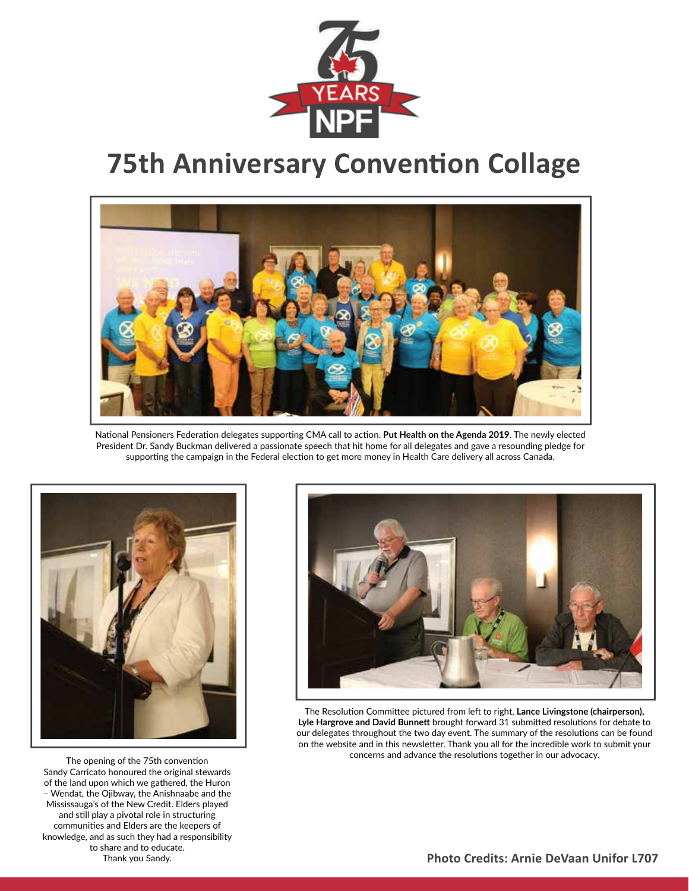

## **75th Anniversary Convention Collage**



National Pensioners Federation delegates supporting CMA call to action. **Put Health on the Agenda 2019**. The newly elected President Dr. Sandy Buckman delivered a passionate speech that hit home for all delegates and gave a resounding pledge for supporting the campaign in the Federal election to get more money in Health Care delivery all across Canada.



The opening of the 75th convention Sandy Carricato honoured the original stewards of the land upon which we gathered, the Huron – Wendat, the Ojibway, the Anishnaabe and the Mississauga's of the New Credit. Elders played and still play a pivotal role in structuring communities and Elders are the keepers of knowledge, and as such they had a responsibility to share and to educate. Thank you Sandy.



The Resolution Committee pictured from left to right, **Lance Livingstone (chairperson), Lyle Hargrove and David Bunnett** brought forward 31 submitted resolutions for debate to our delegates throughout the two day event. The summary of the resolutions can be found on the website and in this newsletter. Thank you all for the incredible work to submit your concerns and advance the resolutions together in our advocacy.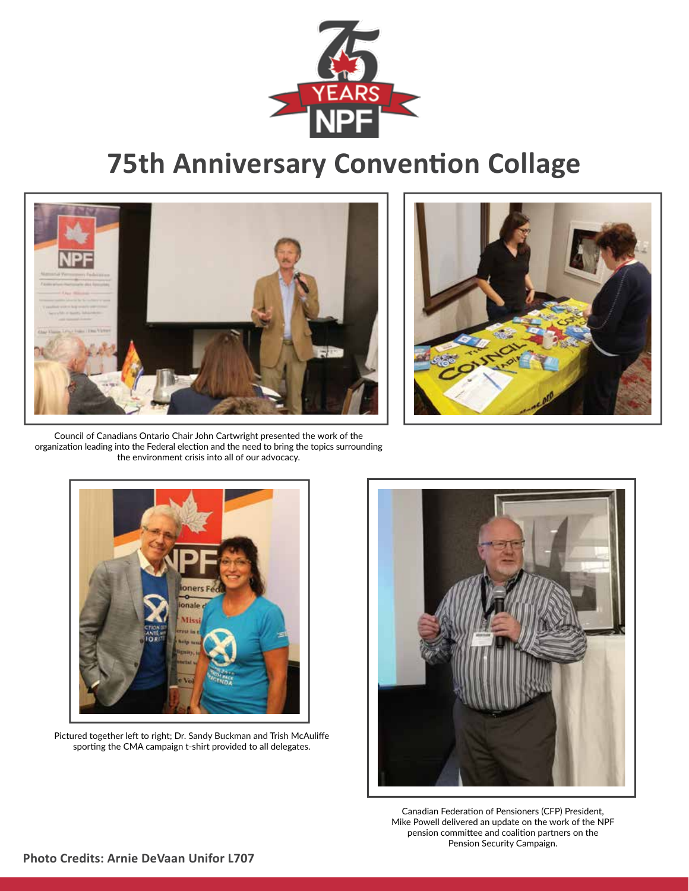

## **75th Anniversary Convention Collage**





Council of Canadians Ontario Chair John Cartwright presented the work of the organization leading into the Federal election and the need to bring the topics surrounding the environment crisis into all of our advocacy.



Pictured together left to right; Dr. Sandy Buckman and Trish McAuliffe sporting the CMA campaign t-shirt provided to all delegates.



Canadian Federation of Pensioners (CFP) President, Mike Powell delivered an update on the work of the NPF pension committee and coalition partners on the Pension Security Campaign.